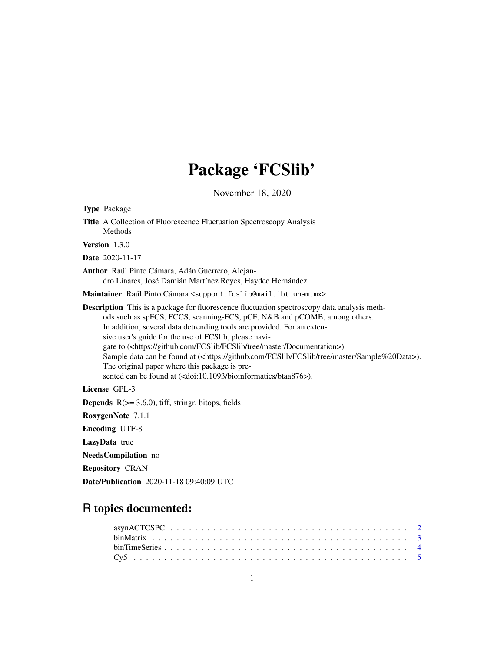# Package 'FCSlib'

November 18, 2020

<span id="page-0-0"></span>

| <b>Type Package</b>                                                                                                                                                                                                                                                                                                                                                                                                                                                                                                                                                                                                                                                    |
|------------------------------------------------------------------------------------------------------------------------------------------------------------------------------------------------------------------------------------------------------------------------------------------------------------------------------------------------------------------------------------------------------------------------------------------------------------------------------------------------------------------------------------------------------------------------------------------------------------------------------------------------------------------------|
| Title A Collection of Fluorescence Fluctuation Spectroscopy Analysis<br>Methods                                                                                                                                                                                                                                                                                                                                                                                                                                                                                                                                                                                        |
| Version 1.3.0                                                                                                                                                                                                                                                                                                                                                                                                                                                                                                                                                                                                                                                          |
| <b>Date</b> 2020-11-17                                                                                                                                                                                                                                                                                                                                                                                                                                                                                                                                                                                                                                                 |
| Author Raúl Pinto Cámara, Adán Guerrero, Alejan-<br>dro Linares, José Damián Martínez Reyes, Haydee Hernández.                                                                                                                                                                                                                                                                                                                                                                                                                                                                                                                                                         |
| Maintainer Raúl Pinto Cámara < support. fcs1ib@mail.ibt.unam.mx>                                                                                                                                                                                                                                                                                                                                                                                                                                                                                                                                                                                                       |
| <b>Description</b> This is a package for fluorescence fluctuation spectroscopy data analysis meth-<br>ods such as spFCS, FCCS, scanning-FCS, pCF, N&B and pCOMB, among others.<br>In addition, several data detrending tools are provided. For an exten-<br>sive user's guide for the use of FCSlib, please navi-<br>gate to ( <https: documentation="" fcslib="" github.com="" master="" tree="">).<br/>Sample data can be found at (<https: fcslib="" github.com="" master="" sample%20data="" tree="">).<br/>The original paper where this package is pre-<br/>sented can be found at (<doi:10.1093 bioinformatics="" btaa876="">).</doi:10.1093></https:></https:> |
| License GPL-3                                                                                                                                                                                                                                                                                                                                                                                                                                                                                                                                                                                                                                                          |
| <b>Depends</b> $R$ ( $> = 3.6.0$ ), tiff, stringr, bitops, fields                                                                                                                                                                                                                                                                                                                                                                                                                                                                                                                                                                                                      |
| RoxygenNote 7.1.1                                                                                                                                                                                                                                                                                                                                                                                                                                                                                                                                                                                                                                                      |
| <b>Encoding UTF-8</b>                                                                                                                                                                                                                                                                                                                                                                                                                                                                                                                                                                                                                                                  |
| LazyData true                                                                                                                                                                                                                                                                                                                                                                                                                                                                                                                                                                                                                                                          |
| <b>NeedsCompilation</b> no                                                                                                                                                                                                                                                                                                                                                                                                                                                                                                                                                                                                                                             |
| <b>Repository CRAN</b>                                                                                                                                                                                                                                                                                                                                                                                                                                                                                                                                                                                                                                                 |
| Date/Publication 2020-11-18 09:40:09 UTC                                                                                                                                                                                                                                                                                                                                                                                                                                                                                                                                                                                                                               |

# R topics documented: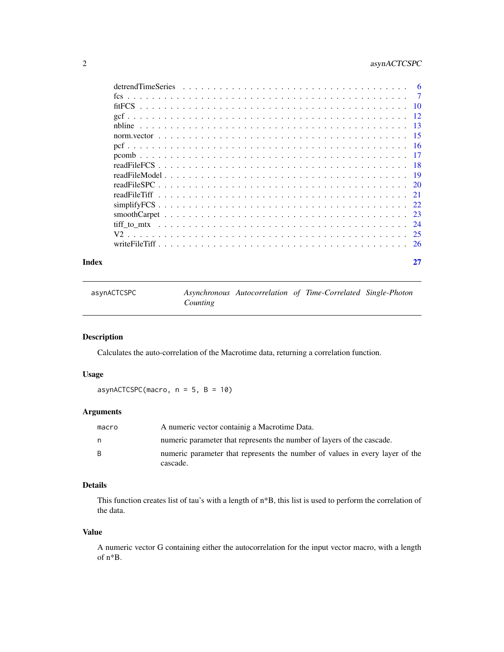# <span id="page-1-0"></span>2 asynACTCSPC

| Index |  |
|-------|--|

<span id="page-1-1"></span>asynACTCSPC *Asynchronous Autocorrelation of Time-Correlated Single-Photon Counting*

# Description

Calculates the auto-correlation of the Macrotime data, returning a correlation function.

# Usage

asynACTCSPC(macro,  $n = 5$ ,  $B = 10$ )

# Arguments

| macro        | A numeric vector containig a Macrotime Data.                                             |
|--------------|------------------------------------------------------------------------------------------|
| n.           | numeric parameter that represents the number of layers of the cascade.                   |
| <sup>B</sup> | numeric parameter that represents the number of values in every layer of the<br>cascade. |

# Details

This function creates list of tau's with a length of n\*B, this list is used to perform the correlation of the data.

#### Value

A numeric vector G containing either the autocorrelation for the input vector macro, with a length of n\*B.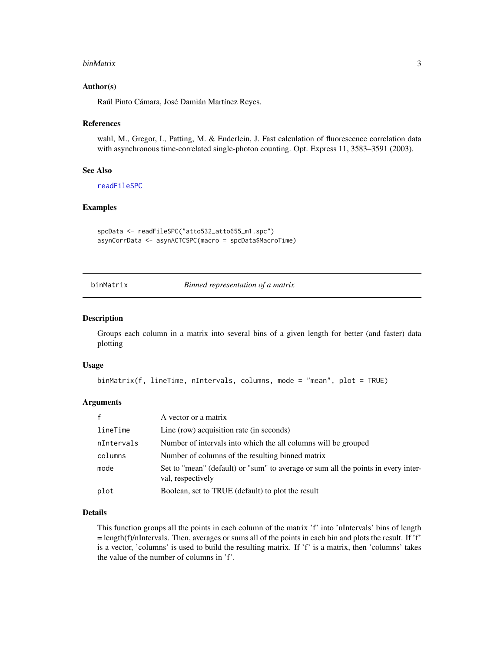#### <span id="page-2-0"></span>binMatrix 3

#### Author(s)

Raúl Pinto Cámara, José Damián Martínez Reyes.

#### References

wahl, M., Gregor, I., Patting, M. & Enderlein, J. Fast calculation of fluorescence correlation data with asynchronous time-correlated single-photon counting. Opt. Express 11, 3583–3591 (2003).

#### See Also

[readFileSPC](#page-19-1)

## Examples

spcData <- readFileSPC("atto532\_atto655\_m1.spc") asynCorrData <- asynACTCSPC(macro = spcData\$MacroTime)

<span id="page-2-1"></span>binMatrix *Binned representation of a matrix*

# Description

Groups each column in a matrix into several bins of a given length for better (and faster) data plotting

#### Usage

```
binMatrix(f, lineTime, nIntervals, columns, mode = "mean", plot = TRUE)
```
# Arguments

|            | A vector or a matrix                                                                                   |
|------------|--------------------------------------------------------------------------------------------------------|
| lineTime   | Line (row) acquisition rate (in seconds)                                                               |
| nIntervals | Number of intervals into which the all columns will be grouped                                         |
| columns    | Number of columns of the resulting binned matrix                                                       |
| mode       | Set to "mean" (default) or "sum" to average or sum all the points in every inter-<br>val, respectively |
| plot       | Boolean, set to TRUE (default) to plot the result                                                      |

# Details

This function groups all the points in each column of the matrix 'f' into 'nIntervals' bins of length  $=$  length(f)/nIntervals. Then, averages or sums all of the points in each bin and plots the result. If 'f' is a vector, 'columns' is used to build the resulting matrix. If 'f' is a matrix, then 'columns' takes the value of the number of columns in 'f'.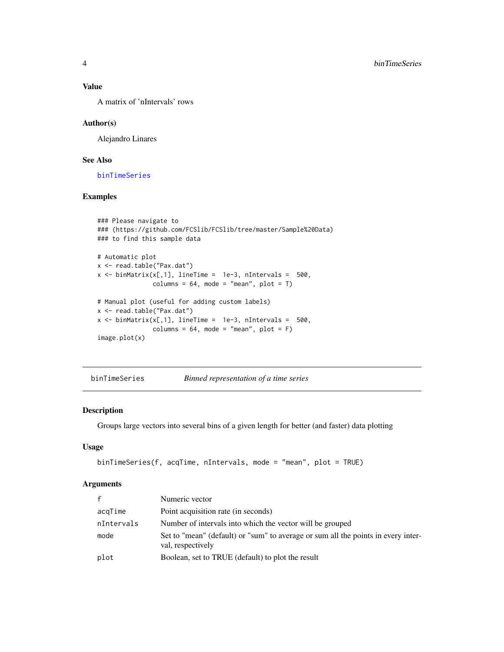# Value

A matrix of 'nIntervals' rows

# Author(s)

Alejandro Linares

# See Also

[binTimeSeries](#page-3-1)

# Examples

```
### Please navigate to
### (https://github.com/FCSlib/FCSlib/tree/master/Sample%20Data)
### to find this sample data
# Automatic plot
x <- read.table("Pax.dat")
x \le -\text{binMatrix}(x[,1], \text{ lineTime} = 1e-3, \text{ nIntervals} = 500,columns = 64, mode = "mean", plot = T)
# Manual plot (useful for adding custom labels)
x <- read.table("Pax.dat")
x \le -\text{binMatrix}(x[,1], \text{ lineTime} = 1e-3, \text{ nIntervals} = 500,columns = 64, mode = "mean", plot = F)
image.plot(x)
```
<span id="page-3-1"></span>binTimeSeries *Binned representation of a time series*

#### Description

Groups large vectors into several bins of a given length for better (and faster) data plotting

# Usage

```
binTimeSeries(f, acqTime, nIntervals, mode = "mean", plot = TRUE)
```
# Arguments

| $\mathsf{f}$ | Numeric vector                                                                                         |
|--------------|--------------------------------------------------------------------------------------------------------|
| acqTime      | Point acquisition rate (in seconds)                                                                    |
| nIntervals   | Number of intervals into which the vector will be grouped                                              |
| mode         | Set to "mean" (default) or "sum" to average or sum all the points in every inter-<br>val, respectively |
| plot         | Boolean, set to TRUE (default) to plot the result                                                      |

<span id="page-3-0"></span>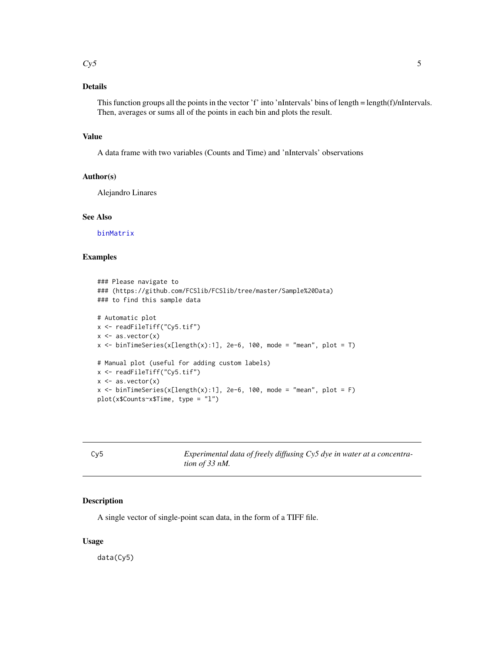#### <span id="page-4-0"></span> $Cy5$  5

# Details

This function groups all the points in the vector 'f' into 'nIntervals' bins of length = length(f)/nIntervals. Then, averages or sums all of the points in each bin and plots the result.

# Value

A data frame with two variables (Counts and Time) and 'nIntervals' observations

#### Author(s)

Alejandro Linares

### See Also

[binMatrix](#page-2-1)

# Examples

```
### Please navigate to
### (https://github.com/FCSlib/FCSlib/tree/master/Sample%20Data)
### to find this sample data
# Automatic plot
x <- readFileTiff("Cy5.tif")
x \leftarrow as-vector(x)x \le binTimeSeries(x[length(x):1], 2e-6, 100, mode = "mean", plot = T)
# Manual plot (useful for adding custom labels)
x <- readFileTiff("Cy5.tif")
x \leftarrow as.vector(x)x \le binTimeSeries(x[length(x):1], 2e-6, 100, mode = "mean", plot = F)
plot(x$Counts~x$Time, type = "l")
```
Cy5 *Experimental data of freely diffusing Cy5 dye in water at a concentration of 33 nM.*

#### Description

A single vector of single-point scan data, in the form of a TIFF file.

# Usage

data(Cy5)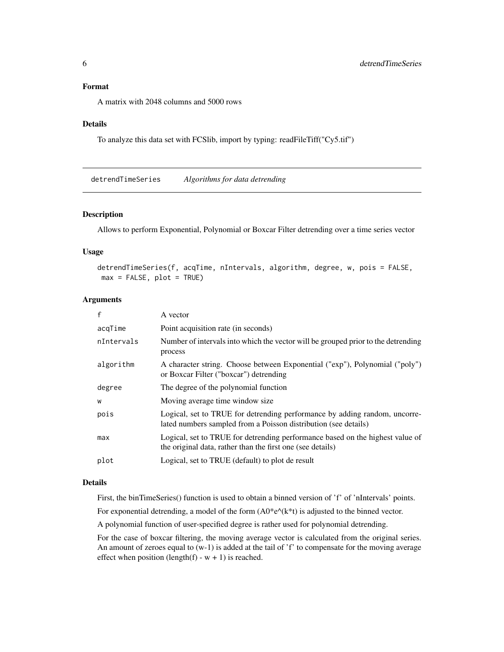# <span id="page-5-0"></span>Format

A matrix with 2048 columns and 5000 rows

#### Details

To analyze this data set with FCSlib, import by typing: readFileTiff("Cy5.tif")

detrendTimeSeries *Algorithms for data detrending*

# Description

Allows to perform Exponential, Polynomial or Boxcar Filter detrending over a time series vector

### Usage

```
detrendTimeSeries(f, acqTime, nIntervals, algorithm, degree, w, pois = FALSE,
max = FALSE, plot = TRUE
```
# Arguments

| f          | A vector                                                                                                                                      |
|------------|-----------------------------------------------------------------------------------------------------------------------------------------------|
| acqTime    | Point acquisition rate (in seconds)                                                                                                           |
| nIntervals | Number of intervals into which the vector will be grouped prior to the detrending<br>process                                                  |
| algorithm  | A character string. Choose between Exponential ("exp"), Polynomial ("poly")<br>or Boxcar Filter ("boxcar") detrending                         |
| degree     | The degree of the polynomial function                                                                                                         |
| W          | Moving average time window size.                                                                                                              |
| pois       | Logical, set to TRUE for detrending performance by adding random, uncorre-<br>lated numbers sampled from a Poisson distribution (see details) |
| max        | Logical, set to TRUE for detrending performance based on the highest value of<br>the original data, rather than the first one (see details)   |
| plot       | Logical, set to TRUE (default) to plot de result                                                                                              |

#### Details

First, the binTimeSeries() function is used to obtain a binned version of 'f' of 'nIntervals' points.

For exponential detrending, a model of the form  $(A0*e^{\lambda}(k*t))$  is adjusted to the binned vector.

A polynomial function of user-specified degree is rather used for polynomial detrending.

For the case of boxcar filtering, the moving average vector is calculated from the original series. An amount of zeroes equal to (w-1) is added at the tail of 'f' to compensate for the moving average effect when position (length(f) -  $w + 1$ ) is reached.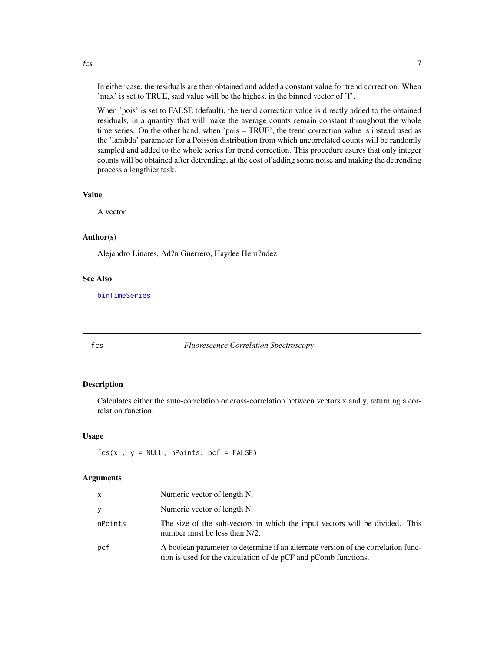<span id="page-6-0"></span> $fcs$  7

In either case, the residuals are then obtained and added a constant value for trend correction. When 'max' is set to TRUE, said value will be the highest in the binned vector of 'f'.

When 'pois' is set to FALSE (default), the trend correction value is directly added to the obtained residuals, in a quantity that will make the average counts remain constant throughout the whole time series. On the other hand, when 'pois = TRUE', the trend correction value is instead used as the 'lambda' parameter for a Poisson distribution from which uncorrelated counts will be randomly sampled and added to the whole series for trend correction. This procedure asures that only integer counts will be obtained after detrending, at the cost of adding some noise and making the detrending process a lengthier task.

# Value

A vector

# Author(s)

Alejandro Linares, Ad?n Guerrero, Haydee Hern?ndez

#### See Also

[binTimeSeries](#page-3-1)

<span id="page-6-1"></span>

#### fcs *Fluorescence Correlation Spectroscopy*

#### Description

Calculates either the auto-correlation or cross-correlation between vectors x and y, returning a correlation function.

#### Usage

 $fcs(x, y = NULL, nPoints, pcf = FALSE)$ 

#### Arguments

| $\mathsf{x}$ | Numeric vector of length N.                                                                                                                          |
|--------------|------------------------------------------------------------------------------------------------------------------------------------------------------|
| y            | Numeric vector of length N.                                                                                                                          |
| nPoints      | The size of the sub-vectors in which the input vectors will be divided. This<br>number must be less than N/2.                                        |
| pcf          | A boolean parameter to determine if an alternate version of the correlation func-<br>tion is used for the calculation of de pCF and pComb functions. |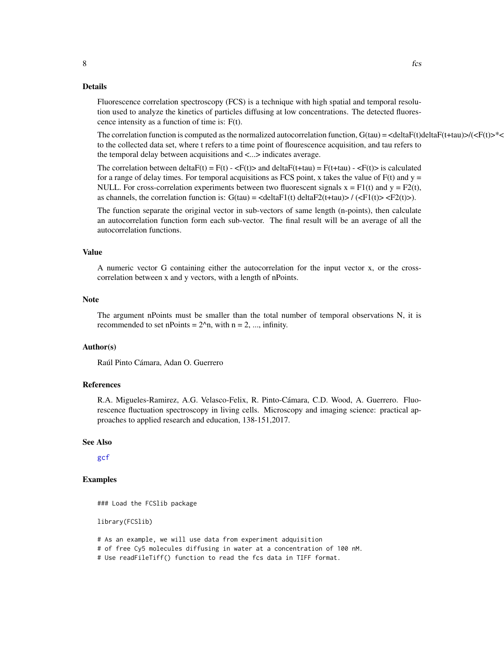<span id="page-7-0"></span>Fluorescence correlation spectroscopy (FCS) is a technique with high spatial and temporal resolution used to analyze the kinetics of particles diffusing at low concentrations. The detected fluorescence intensity as a function of time is: F(t).

The correlation function is computed as the normalized autocorrelation function,  $G(tau) = \langle deltaF(t)deltaF(t)ab\rangle / \langle cF(t)\rangle^* \langle$ to the collected data set, where t refers to a time point of flourescence acquisition, and tau refers to the temporal delay between acquisitions and <...> indicates average.

The correlation between deltaF(t) = F(t) - <F(t)> and deltaF(t+tau) = F(t+tau) - <F(t)> is calculated for a range of delay times. For temporal acquisitions as FCS point, x takes the value of  $F(t)$  and  $y =$ NULL. For cross-correlation experiments between two fluorescent signals  $x = F1(t)$  and  $y = F2(t)$ , as channels, the correlation function is:  $G(tau) = \text{cdelta}F1(t) \text{ delta}F2(t+tau) > \text{fz}(t) > \text{fz}(t)$ .

The function separate the original vector in sub-vectors of same length (n-points), then calculate an autocorrelation function form each sub-vector. The final result will be an average of all the autocorrelation functions.

#### Value

A numeric vector G containing either the autocorrelation for the input vector x, or the crosscorrelation between x and y vectors, with a length of nPoints.

#### Note

The argument nPoints must be smaller than the total number of temporal observations N, it is recommended to set nPoints =  $2^{\lambda}$ n, with n = 2, ..., infinity.

# Author(s)

Raúl Pinto Cámara, Adan O. Guerrero

### References

R.A. Migueles-Ramirez, A.G. Velasco-Felix, R. Pinto-Cámara, C.D. Wood, A. Guerrero. Fluorescence fluctuation spectroscopy in living cells. Microscopy and imaging science: practical approaches to applied research and education, 138-151,2017.

#### See Also

[gcf](#page-11-1)

# Examples

### Load the FCSlib package

library(FCSlib)

# As an example, we will use data from experiment adquisition

# of free Cy5 molecules diffusing in water at a concentration of 100 nM.

# Use readFileTiff() function to read the fcs data in TIFF format.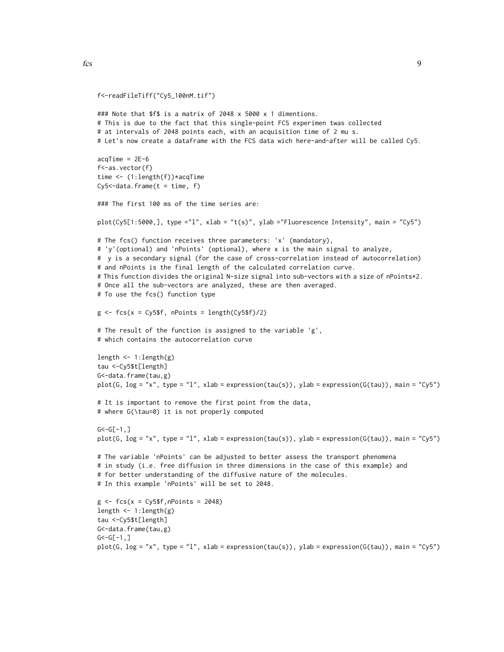```
f<-readFileTiff("Cy5_100nM.tif")
### Note that $f$ is a matrix of 2048 x 5000 x 1 dimentions.
# This is due to the fact that this single-point FCS experimen twas collected
# at intervals of 2048 points each, with an acquisition time of 2 mu s.
# Let's now create a dataframe with the FCS data wich here-and-after will be called Cy5.
acqTime = 2E-6f<-as.vector(f)
time <- (1:length(f))*acqTime
Cy5 < -data.frame(t = time, f)### The first 100 ms of the time series are:
plot(Cy5[1:5000,], type ="l", xlab = "t(s)", ylab ="Fluorescence Intensity", main = "Cy5")
# The fcs() function receives three parameters: 'x' (mandatory),
# 'y'(optional) and 'nPoints' (optional), where x is the main signal to analyze,
# y is a secondary signal (for the case of cross-correlation instead of autocorrelation)
# and nPoints is the final length of the calculated correlation curve.
# This function divides the original N-size signal into sub-vectors with a size of nPoints*2.
# Once all the sub-vectors are analyzed, these are then averaged.
# To use the fcs() function type
g \leftarrow fcs(x = Cy5$f, nPoints = length(Cy5$f)/2)
# The result of the function is assigned to the variable 'g',
# which contains the autocorrelation curve
length <- 1:length(g)
tau <-Cy5$t[length]
G<-data.frame(tau,g)
plot(G, log = "x", type = "l", xlab = expression(tau(s)), ylab = expression(G(tau)), main = "Cy5")
# It is important to remove the first point from the data,
# where G(\tau=0) it is not properly computed
G < -G[-1, ]plot(G, log = "x", type = "l", xlab = expression(tau(s)), ylab = expression(G(tau)), main = "Cy5")
# The variable 'nPoints' can be adjusted to better assess the transport phenomena
# in study (i.e. free diffusion in three dimensions in the case of this example) and
# for better understanding of the diffusive nature of the molecules.
# In this example 'nPoints' will be set to 2048.
g \leftarrow fcs(x = Cy5$f, nPoints = 2048)
length \leq -1: length(g)tau <-Cy5$t[length]
G<-data.frame(tau,g)
G < -G[-1, 1]plot(G, log = "x", type = "l", xlab = expression(tau(s)), ylab = expression(G(tau)), main = "Cy5")
```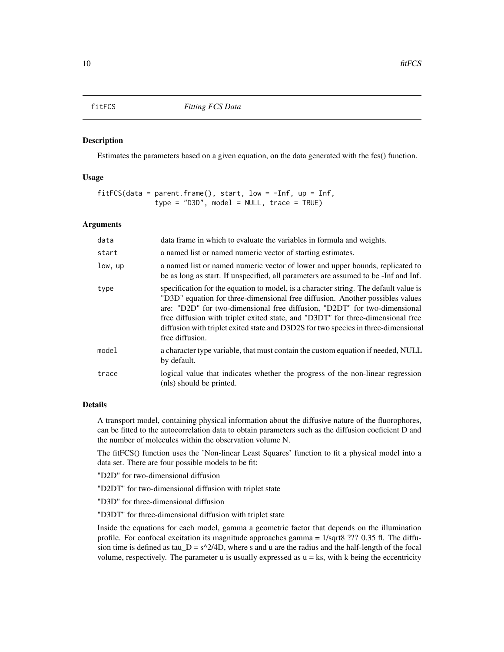#### <span id="page-9-1"></span><span id="page-9-0"></span>Description

Estimates the parameters based on a given equation, on the data generated with the fcs() function.

# Usage

```
fitFCS(data = parent.frame(), start, low = -Inf, up = Inf,
              type = "D3D", model = NULL, trace = TRUE)
```
#### Arguments

| data    | data frame in which to evaluate the variables in formula and weights.                                                                                                                                                                                                                                                                                                                                                                          |
|---------|------------------------------------------------------------------------------------------------------------------------------------------------------------------------------------------------------------------------------------------------------------------------------------------------------------------------------------------------------------------------------------------------------------------------------------------------|
| start   | a named list or named numeric vector of starting estimates.                                                                                                                                                                                                                                                                                                                                                                                    |
| low, up | a named list or named numeric vector of lower and upper bounds, replicated to<br>be as long as start. If unspecified, all parameters are assumed to be -Inf and Inf.                                                                                                                                                                                                                                                                           |
| type    | specification for the equation to model, is a character string. The default value is<br>"D3D" equation for three-dimensional free diffusion. Another possibles values<br>are: "D2D" for two-dimensional free diffusion, "D2DT" for two-dimensional<br>free diffusion with triplet exited state, and "D3DT" for three-dimensional free<br>diffusion with triplet exited state and D3D2S for two species in three-dimensional<br>free diffusion. |
| model   | a character type variable, that must contain the custom equation if needed, NULL<br>by default.                                                                                                                                                                                                                                                                                                                                                |
| trace   | logical value that indicates whether the progress of the non-linear regression<br>(nls) should be printed.                                                                                                                                                                                                                                                                                                                                     |

# Details

A transport model, containing physical information about the diffusive nature of the fluorophores, can be fitted to the autocorrelation data to obtain parameters such as the diffusion coeficient D and the number of molecules within the observation volume N.

The fitFCS() function uses the 'Non-linear Least Squares' function to fit a physical model into a data set. There are four possible models to be fit:

"D2D" for two-dimensional diffusion

"D2DT" for two-dimensional diffusion with triplet state

"D3D" for three-dimensional diffusion

"D3DT" for three-dimensional diffusion with triplet state

Inside the equations for each model, gamma a geometric factor that depends on the illumination profile. For confocal excitation its magnitude approaches gamma = 1/sqrt8 ??? 0.35 fl. The diffusion time is defined as tau  $D = s^2/4D$ , where s and u are the radius and the half-length of the focal volume, respectively. The parameter u is usually expressed as  $u = ks$ , with k being the eccentricity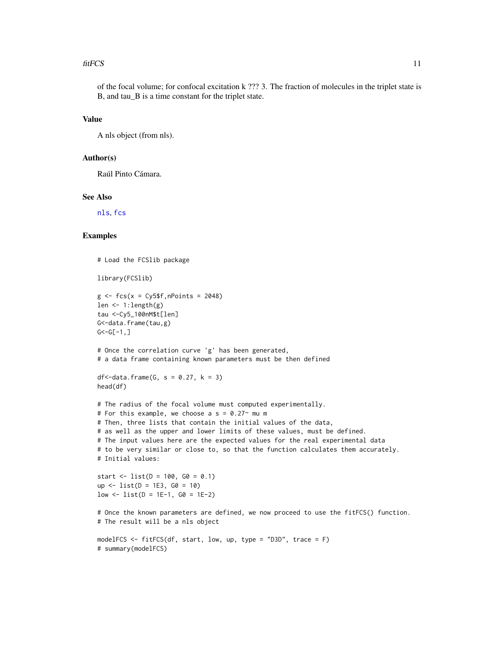#### <span id="page-10-0"></span>fit FCS 11

of the focal volume; for confocal excitation k ??? 3. The fraction of molecules in the triplet state is B, and tau\_B is a time constant for the triplet state.

#### Value

A nls object (from nls).

# Author(s)

Raúl Pinto Cámara.

# See Also

[nls](#page-0-0), [fcs](#page-6-1)

# Examples

# Load the FCSlib package

```
library(FCSlib)
```

```
g \leftarrow fcs(x = Cy5$f, nPoints = 2048)
len <- 1:length(g)
tau <-Cy5_100nM$t[len]
G<-data.frame(tau,g)
G < -G[-1, ]
```
# Once the correlation curve 'g' has been generated, # a data frame containing known parameters must be then defined

```
df < -data. frame(G, s = 0.27, k = 3)
head(df)
```

```
# The radius of the focal volume must computed experimentally.
# For this example, we choose a s = 0.27 mu m
# Then, three lists that contain the initial values of the data,
# as well as the upper and lower limits of these values, must be defined.
# The input values here are the expected values for the real experimental data
# to be very similar or close to, so that the function calculates them accurately.
# Initial values:
start <- list(D = 100, G0 = 0.1)
up <- list(D = 1E3, G0 = 10)
low \leftarrow list(D = 1E-1, GO = 1E-2)# Once the known parameters are defined, we now proceed to use the fitFCS() function.
# The result will be a nls object
```

```
modelFCS <- fitFCS(df, start, low, up, type = "D3D", trace = F)
# summary(modelFCS)
```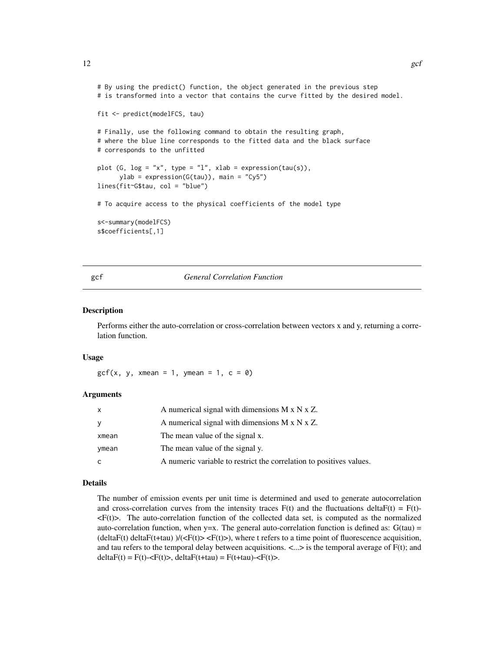```
12 gcf
```

```
# By using the predict() function, the object generated in the previous step
# is transformed into a vector that contains the curve fitted by the desired model.
fit <- predict(modelFCS, tau)
# Finally, use the following command to obtain the resulting graph,
# where the blue line corresponds to the fitted data and the black surface
# corresponds to the unfitted
plot (G, log = "x", type = "l", xlab = expression(tau(s)),ylab = expression(G(tau)), main = "Cy5")
lines(fit~G$tau, col = "blue")
# To acquire access to the physical coefficients of the model type
s<-summary(modelFCS)
s$coefficients[,1]
```
<span id="page-11-1"></span>gcf *General Correlation Function*

#### Description

Performs either the auto-correlation or cross-correlation between vectors x and y, returning a correlation function.

#### Usage

 $gcf(x, y, xmean = 1, ymean = 1, c = 0)$ 

#### Arguments

| x     | A numerical signal with dimensions $M \times N \times Z$ .          |
|-------|---------------------------------------------------------------------|
| у     | A numerical signal with dimensions $M \times N \times Z$ .          |
| xmean | The mean value of the signal x.                                     |
| ymean | The mean value of the signal y.                                     |
| C     | A numeric variable to restrict the correlation to positives values. |

#### Details

The number of emission events per unit time is determined and used to generate autocorrelation and cross-correlation curves from the intensity traces  $F(t)$  and the fluctuations delta $F(t) = F(t)$ - $\langle F(t) \rangle$ . The auto-correlation function of the collected data set, is computed as the normalized auto-correlation function, when  $y=x$ . The general auto-correlation function is defined as:  $G(tau)$  =  $(\text{deltaF}(t) \cdot \text{deltaF}(t) \cdot \text{deltaF}(t)) \leq F(t)$  where t refers to a time point of fluorescence acquisition, and tau refers to the temporal delay between acquisitions.  $\langle \ldots \rangle$  is the temporal average of  $F(t)$ ; and  $deltaF(t) = F(t) - \langle F(t) \rangle$ ,  $deltaF(t)$  +  $tau) = F(t) + \langle F(t) \rangle$ .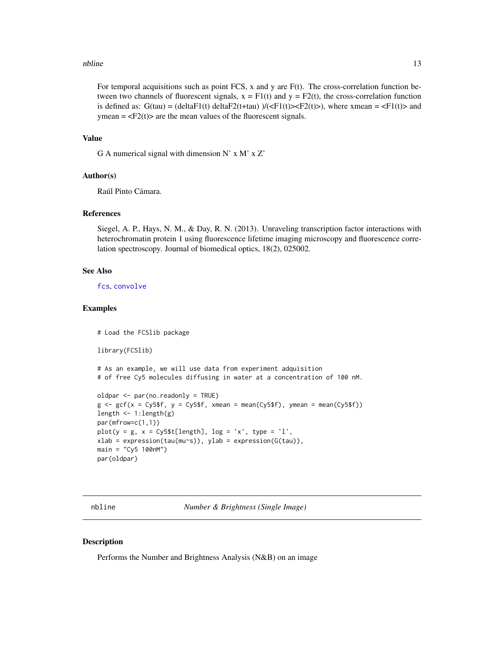#### <span id="page-12-0"></span>nbline 13

For temporal acquisitions such as point FCS,  $x$  and  $y$  are  $F(t)$ . The cross-correlation function between two channels of fluorescent signals,  $x = F1(t)$  and  $y = F2(t)$ , the cross-correlation function is defined as:  $G(tau) = (deltaF1(t) deltaF2(t+tau)) / (\langle F1(t) \rangle \langle F2(t) \rangle)$ , where xmean =  $\langle F1(t) \rangle$  and ymean  $=$  <F2(t) $>$  are the mean values of the fluorescent signals.

#### Value

G A numerical signal with dimension N' x M' x Z'

#### Author(s)

Raúl Pinto Cámara.

# References

Siegel, A. P., Hays, N. M., & Day, R. N. (2013). Unraveling transcription factor interactions with heterochromatin protein 1 using fluorescence lifetime imaging microscopy and fluorescence correlation spectroscopy. Journal of biomedical optics, 18(2), 025002.

#### See Also

[fcs](#page-6-1), [convolve](#page-0-0)

### Examples

```
# Load the FCSlib package
library(FCSlib)
# As an example, we will use data from experiment adquisition
# of free Cy5 molecules diffusing in water at a concentration of 100 nM.
oldpar <- par(no.readonly = TRUE)
g \le -gef(x = Cy5$f, y = Cy5$f, xmean = mean(Cy5$f), ymean = mean(Cy5$f))
length <- 1:length(g)
par(mfrow=c(1,1))
plot(y = g, x = Cy5$t[length], log = 'x', type = 'l',xlab = expression(tau(mu\text{~s})), ylab = expression(G(tau)),main = "Cy5 100nM")par(oldpar)
```
nbline *Number & Brightness (Single Image)*

#### **Description**

Performs the Number and Brightness Analysis (N&B) on an image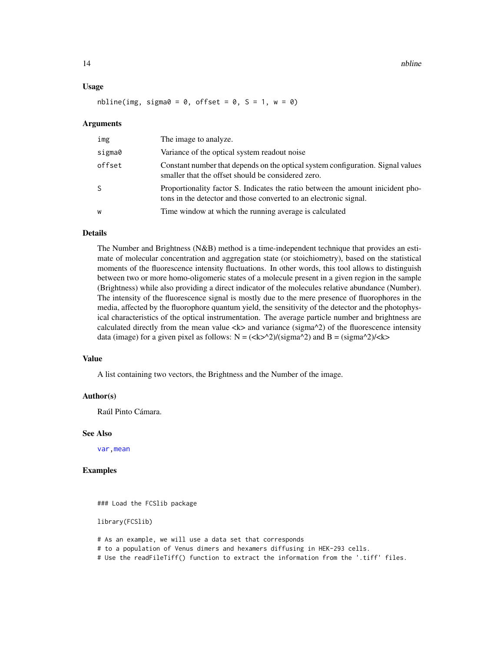<span id="page-13-0"></span>14 **nbline** 

#### Usage

nbline(img, sigma0 = 0, offset = 0,  $S = 1$ ,  $w = 0$ )

#### Arguments

| img    | The image to analyze.                                                                                                                                |
|--------|------------------------------------------------------------------------------------------------------------------------------------------------------|
| sigma0 | Variance of the optical system readout noise                                                                                                         |
| offset | Constant number that depends on the optical system configuration. Signal values<br>smaller that the offset should be considered zero.                |
| S      | Proportionality factor S. Indicates the ratio between the amount inicident pho-<br>tons in the detector and those converted to an electronic signal. |
| W      | Time window at which the running average is calculated                                                                                               |

# **Details**

The Number and Brightness (N&B) method is a time-independent technique that provides an estimate of molecular concentration and aggregation state (or stoichiometry), based on the statistical moments of the fluorescence intensity fluctuations. In other words, this tool allows to distinguish between two or more homo-oligomeric states of a molecule present in a given region in the sample (Brightness) while also providing a direct indicator of the molecules relative abundance (Number). The intensity of the fluorescence signal is mostly due to the mere presence of fluorophores in the media, affected by the fluorophore quantum yield, the sensitivity of the detector and the photophysical characteristics of the optical instrumentation. The average particle number and brightness are calculated directly from the mean value  $\langle k \rangle$  and variance (sigma^2) of the fluorescence intensity data (image) for a given pixel as follows:  $N = (\langle k \rangle^2)/\langle (sigma^2 \rangle^2)$  and  $B = (sigma^2)/\langle k \rangle^2$ 

#### Value

A list containing two vectors, the Brightness and the Number of the image.

#### Author(s)

Raúl Pinto Cámara.

#### See Also

[var,mean](#page-0-0)

#### Examples

### Load the FCSlib package

library(FCSlib)

# As an example, we will use a data set that corresponds # to a population of Venus dimers and hexamers diffusing in HEK-293 cells.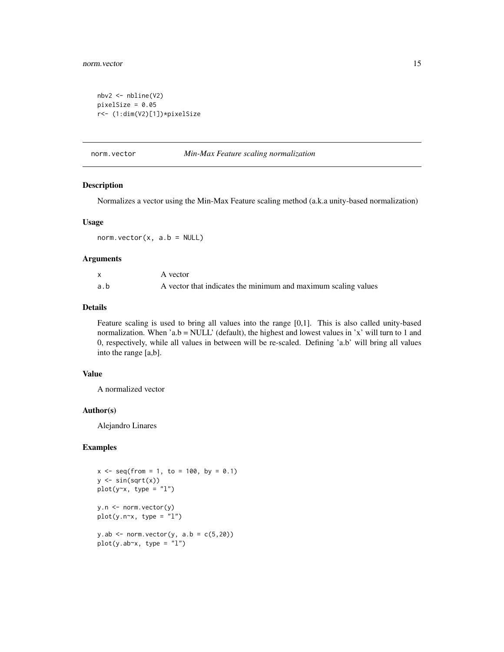#### <span id="page-14-0"></span>norm.vector 15

```
nbv2 <- nbline(V2)
pixelSize = 0.05
r<- (1:dim(V2)[1])*pixelSize
```
#### norm.vector *Min-Max Feature scaling normalization*

# Description

Normalizes a vector using the Min-Max Feature scaling method (a.k.a unity-based normalization)

#### Usage

```
norm.vector(x, a.b = NULL)
```
# Arguments

|     | A vector                                                       |
|-----|----------------------------------------------------------------|
| a.b | A vector that indicates the minimum and maximum scaling values |

#### Details

Feature scaling is used to bring all values into the range [0,1]. This is also called unity-based normalization. When 'a.b = NULL' (default), the highest and lowest values in 'x' will turn to 1 and 0, respectively, while all values in between will be re-scaled. Defining 'a.b' will bring all values into the range [a,b].

#### Value

A normalized vector

#### Author(s)

Alejandro Linares

# Examples

```
x \le - seq(from = 1, to = 100, by = 0.1)
y \leftarrow \sin(\sqrt{\sqrt{x}})plot(y~x, type = "l")y.n <- norm.vector(y)
plot(y.n~x, type = "l")
y.ab \leq norm.vector(y, a.b = c(5, 20))
plot(y.ab~x, type = "l")
```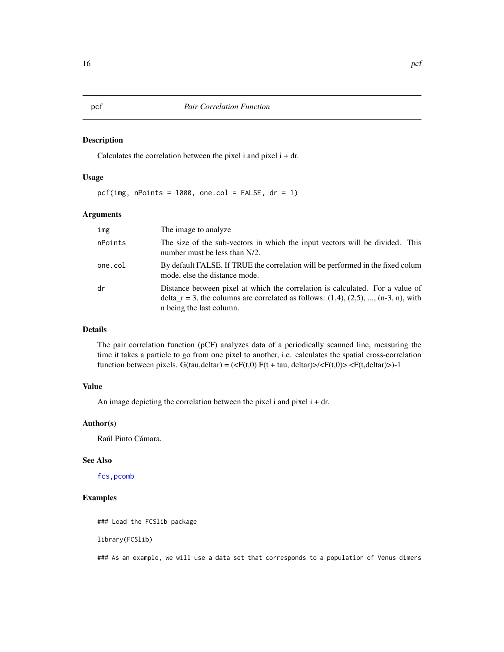# <span id="page-15-1"></span><span id="page-15-0"></span>Description

Calculates the correlation between the pixel i and pixel  $i + dr$ .

# Usage

pcf(img, nPoints =  $1000$ , one.col = FALSE, dr = 1)

#### Arguments

| img     | The image to analyze.                                                                                                                                                                                    |
|---------|----------------------------------------------------------------------------------------------------------------------------------------------------------------------------------------------------------|
| nPoints | The size of the sub-vectors in which the input vectors will be divided. This<br>number must be less than N/2.                                                                                            |
| one.col | By default FALSE. If TRUE the correlation will be performed in the fixed colum<br>mode, else the distance mode.                                                                                          |
| dr      | Distance between pixel at which the correlation is calculated. For a value of<br>delta_r = 3, the columns are correlated as follows: $(1,4)$ , $(2,5)$ , , $(n-3, n)$ , with<br>n being the last column. |

# Details

The pair correlation function (pCF) analyzes data of a periodically scanned line, measuring the time it takes a particle to go from one pixel to another, i.e. calculates the spatial cross-correlation function between pixels. G(tau,deltar) = ( $\langle F(t,0) F(t + \text{tau}, \text{delta}) \rangle / \langle F(t,0) \rangle \langle F(t, \text{delta}) \rangle$ )-1

# Value

An image depicting the correlation between the pixel i and pixel  $i + dr$ .

#### Author(s)

Raúl Pinto Cámara.

#### See Also

[fcs](#page-6-1)[,pcomb](#page-16-1)

# Examples

### Load the FCSlib package

library(FCSlib)

### As an example, we will use a data set that corresponds to a population of Venus dimers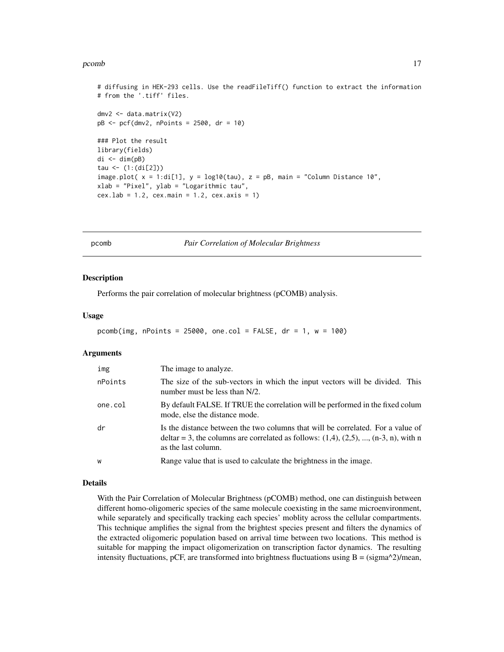#### <span id="page-16-0"></span>pcomb the comb that the comb the comb three comb that the comb three comb three comb three comb three comb three comb

# diffusing in HEK-293 cells. Use the readFileTiff() function to extract the information # from the '.tiff' files. dmv2 <- data.matrix(V2) pB <- pcf(dmv2, nPoints = 2500, dr = 10) ### Plot the result library(fields)  $di \leftarrow dim(pB)$ tau <- (1:(di[2])) image.plot( $x = 1$ :di[1],  $y = log10(tau)$ ,  $z = pB$ , main = "Column Distance 10",  $x$ lab = "Pixel", ylab = "Logarithmic tau"  $cex.1ab = 1.2$ ,  $cex.main = 1.2$ ,  $cex.axis = 1$ )

<span id="page-16-1"></span>

pcomb *Pair Correlation of Molecular Brightness*

#### Description

Performs the pair correlation of molecular brightness (pCOMB) analysis.

# Usage

```
pcomb(img, nPoints = 25000, one.col = FALSE, dr = 1, w = 100)
```
#### Arguments

| img     | The image to analyze.                                                                                                                                                                                  |
|---------|--------------------------------------------------------------------------------------------------------------------------------------------------------------------------------------------------------|
| nPoints | The size of the sub-vectors in which the input vectors will be divided. This<br>number must be less than N/2.                                                                                          |
| one.col | By default FALSE. If TRUE the correlation will be performed in the fixed colum<br>mode, else the distance mode.                                                                                        |
| dr      | Is the distance between the two columns that will be correlated. For a value of<br>deltar = 3, the columns are correlated as follows: $(1,4)$ , $(2,5)$ , , $(n-3, n)$ , with n<br>as the last column. |
| W       | Range value that is used to calculate the brightness in the image.                                                                                                                                     |

#### Details

With the Pair Correlation of Molecular Brightness (pCOMB) method, one can distinguish between different homo-oligomeric species of the same molecule coexisting in the same microenvironment, while separately and specifically tracking each species' mobility across the cellular compartments. This technique amplifies the signal from the brightest species present and filters the dynamics of the extracted oligomeric population based on arrival time between two locations. This method is suitable for mapping the impact oligomerization on transcription factor dynamics. The resulting intensity fluctuations, pCF, are transformed into brightness fluctuations using  $B = \frac{sigma^2}{2\pi m}$ ,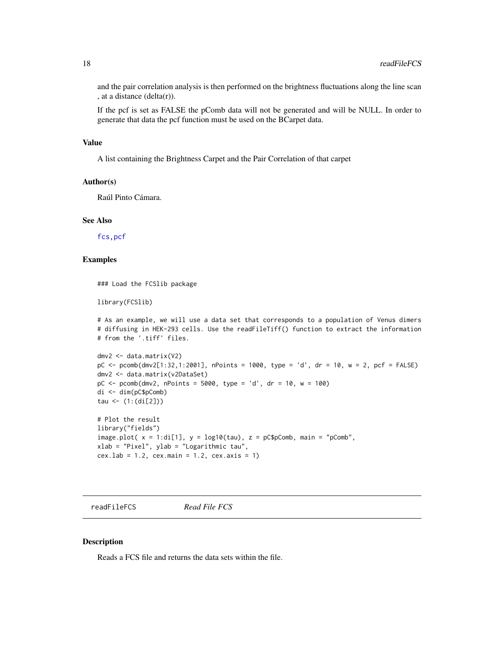and the pair correlation analysis is then performed on the brightness fluctuations along the line scan , at a distance  $(delta(r))$ .

If the pcf is set as FALSE the pComb data will not be generated and will be NULL. In order to generate that data the pcf function must be used on the BCarpet data.

#### Value

A list containing the Brightness Carpet and the Pair Correlation of that carpet

#### Author(s)

Raúl Pinto Cámara.

#### See Also

[fcs](#page-6-1)[,pcf](#page-15-1)

#### Examples

### Load the FCSlib package

library(FCSlib)

```
# As an example, we will use a data set that corresponds to a population of Venus dimers
# diffusing in HEK-293 cells. Use the readFileTiff() function to extract the information
# from the '.tiff' files.
```

```
dmv2 <- data.matrix(V2)
pC <- pcomb(dmv2[1:32,1:2001], nPoints = 1000, type = 'd', dr = 10, w = 2, pcf = FALSE)
dmv2 <- data.matrix(v2DataSet)
pC \le - pcomb(dmv2, nPoints = 5000, type = 'd', dr = 10, w = 100)
di <- dim(pC$pComb)
tau <- (1:(di[2]))
# Plot the result
```

```
library("fields")
image.plot(x = 1:di[1], y = log10(tau), z = pc$pComb, main = "pComb",
xlab = "Pixel", ylab = "Logarithmic tau",
cex.1ab = 1.2, cex.main = 1.2, cex.axis = 1)
```
readFileFCS *Read File FCS*

# Description

Reads a FCS file and returns the data sets within the file.

<span id="page-17-0"></span>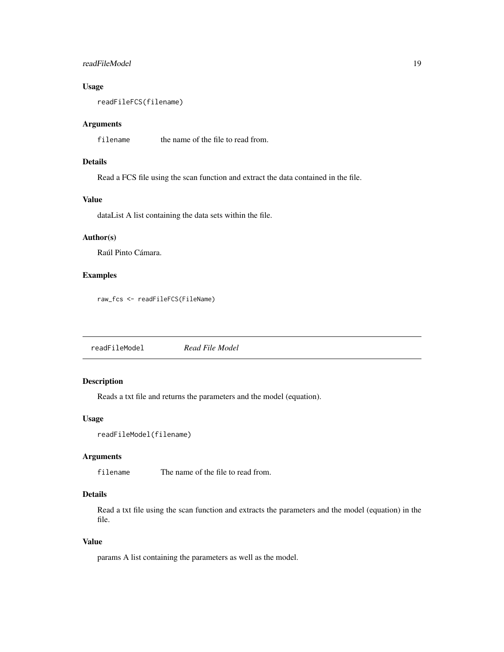# <span id="page-18-0"></span>readFileModel 19

# Usage

readFileFCS(filename)

# Arguments

filename the name of the file to read from.

# Details

Read a FCS file using the scan function and extract the data contained in the file.

# Value

dataList A list containing the data sets within the file.

# Author(s)

Raúl Pinto Cámara.

#### Examples

raw\_fcs <- readFileFCS(FileName)

readFileModel *Read File Model*

# Description

Reads a txt file and returns the parameters and the model (equation).

# Usage

```
readFileModel(filename)
```
# Arguments

filename The name of the file to read from.

# Details

Read a txt file using the scan function and extracts the parameters and the model (equation) in the file.

# Value

params A list containing the parameters as well as the model.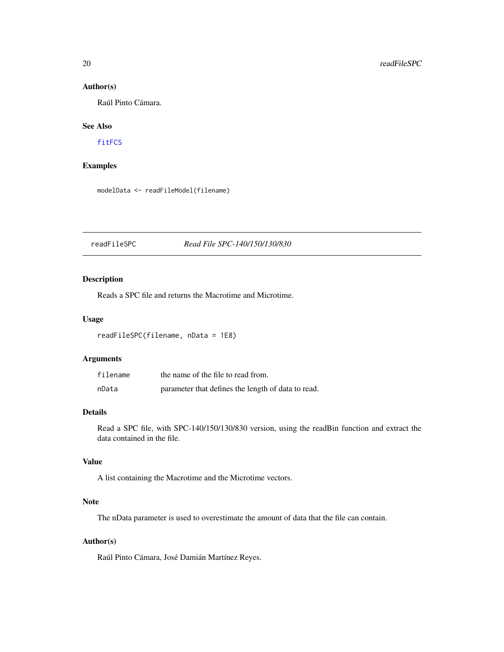# Author(s)

Raúl Pinto Cámara.

# See Also

[fitFCS](#page-9-1)

# Examples

modelData <- readFileModel(filename)

# <span id="page-19-1"></span>readFileSPC *Read File SPC-140/150/130/830*

# Description

Reads a SPC file and returns the Macrotime and Microtime.

# Usage

readFileSPC(filename, nData = 1E8)

#### Arguments

| filename | the name of the file to read from.                 |
|----------|----------------------------------------------------|
| nData    | parameter that defines the length of data to read. |

# Details

Read a SPC file, with SPC-140/150/130/830 version, using the readBin function and extract the data contained in the file.

# Value

A list containing the Macrotime and the Microtime vectors.

# Note

The nData parameter is used to overestimate the amount of data that the file can contain.

# Author(s)

Raúl Pinto Cámara, José Damián Martínez Reyes.

<span id="page-19-0"></span>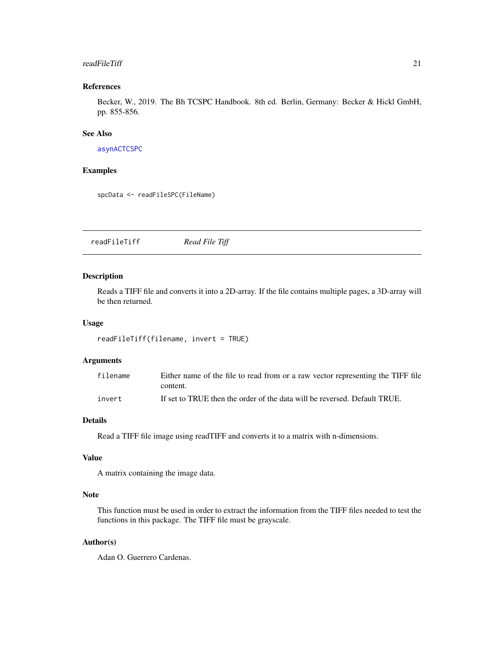#### <span id="page-20-0"></span>readFileTiff 21

# References

Becker, W., 2019. The Bh TCSPC Handbook. 8th ed. Berlin, Germany: Becker & Hickl GmbH, pp. 855-856.

# See Also

[asynACTCSPC](#page-1-1)

# Examples

```
spcData <- readFileSPC(FileName)
```
<span id="page-20-1"></span>readFileTiff *Read File Tiff*

# Description

Reads a TIFF file and converts it into a 2D-array. If the file contains multiple pages, a 3D-array will be then returned.

#### Usage

```
readFileTiff(filename, invert = TRUE)
```
# Arguments

| filename | Either name of the file to read from or a raw vector representing the TIFF file |
|----------|---------------------------------------------------------------------------------|
|          | content.                                                                        |
| invert   | If set to TRUE then the order of the data will be reversed. Default TRUE.       |

# Details

Read a TIFF file image using readTIFF and converts it to a matrix with n-dimensions.

# Value

A matrix containing the image data.

# Note

This function must be used in order to extract the information from the TIFF files needed to test the functions in this package. The TIFF file must be grayscale.

# Author(s)

Adan O. Guerrero Cardenas.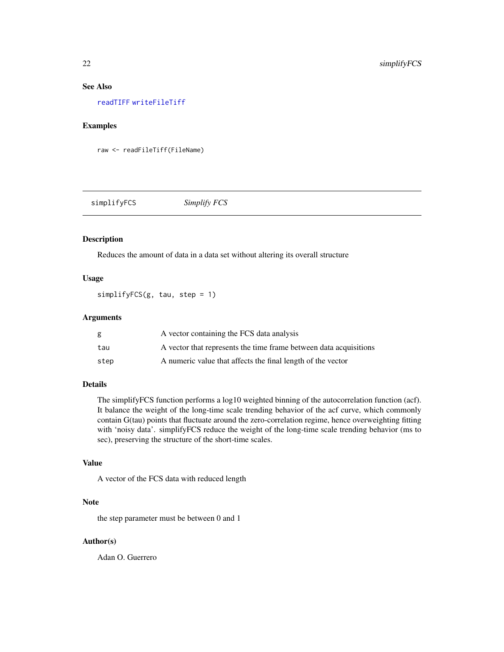# <span id="page-21-0"></span>See Also

[readTIFF](#page-0-0) [writeFileTiff](#page-25-1)

#### Examples

raw <- readFileTiff(FileName)

simplifyFCS *Simplify FCS*

# Description

Reduces the amount of data in a data set without altering its overall structure

# Usage

simplifyFCS(g, tau, step = 1)

# Arguments

| g    | A vector containing the FCS data analysis                         |
|------|-------------------------------------------------------------------|
| tau  | A vector that represents the time frame between data acquisitions |
| step | A numeric value that affects the final length of the vector       |

# Details

The simplifyFCS function performs a log10 weighted binning of the autocorrelation function (acf). It balance the weight of the long-time scale trending behavior of the acf curve, which commonly contain G(tau) points that fluctuate around the zero-correlation regime, hence overweighting fitting with 'noisy data'. simplifyFCS reduce the weight of the long-time scale trending behavior (ms to sec), preserving the structure of the short-time scales.

#### Value

A vector of the FCS data with reduced length

# Note

the step parameter must be between 0 and 1

#### Author(s)

Adan O. Guerrero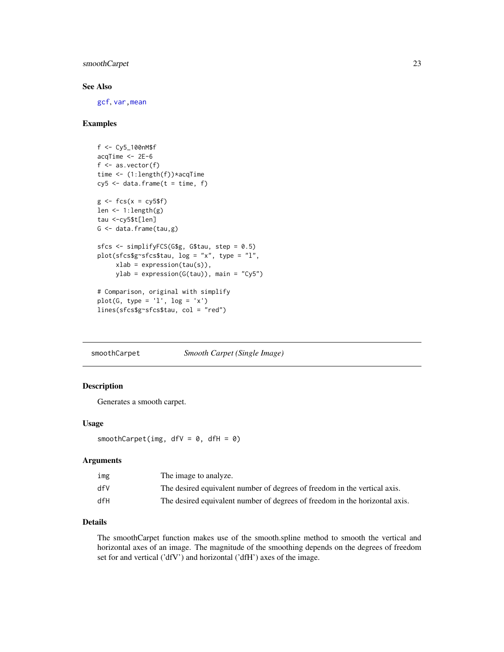# <span id="page-22-0"></span>smoothCarpet 23

# See Also

[gcf](#page-11-1), [var,mean](#page-0-0)

# Examples

```
f <- Cy5_100nM$f
acqTime < -2E-6f \leftarrow as.vector(f)time <- (1:length(f)) * acqTimecy5 \leq data. frame(t = time, f)
g \leftarrow fcs(x = cy5$f)
len \leq -1: length(g)tau <-cy5$t[len]
G \leftarrow data-frame(tau,g)sfcs <- simplifyFCS(G$g, G$tau, step = 0.5)
plot(sfcs$g~sfcs$tau, log = "x", type = "l",
     xlab = expression(tau(s)),
     ylab = expression(G(tau)), main = "Cy5")
# Comparison, original with simplify
plot(G, type = 'l', log = 'x')lines(sfcs$g~sfcs$tau, col = "red")
```
smoothCarpet *Smooth Carpet (Single Image)*

# Description

Generates a smooth carpet.

#### Usage

smoothCarpet(img,  $dfV = 0$ ,  $dfH = 0$ )

#### Arguments

| img | The image to analyze.                                                       |
|-----|-----------------------------------------------------------------------------|
| dfV | The desired equivalent number of degrees of freedom in the vertical axis.   |
| dfH | The desired equivalent number of degrees of freedom in the horizontal axis. |

# Details

The smoothCarpet function makes use of the smooth.spline method to smooth the vertical and horizontal axes of an image. The magnitude of the smoothing depends on the degrees of freedom set for and vertical ('dfV') and horizontal ('dfH') axes of the image.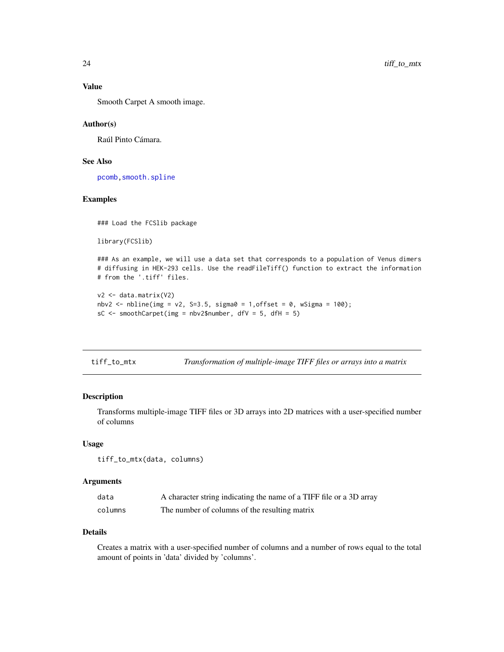# <span id="page-23-0"></span>Value

Smooth Carpet A smooth image.

### Author(s)

Raúl Pinto Cámara.

# See Also

[pcomb](#page-16-1)[,smooth.spline](#page-0-0)

# Examples

### Load the FCSlib package

```
library(FCSlib)
```
### As an example, we will use a data set that corresponds to a population of Venus dimers # diffusing in HEK-293 cells. Use the readFileTiff() function to extract the information # from the '.tiff' files.

```
v2 <- data.matrix(V2)
nbv2 <- nbline(img = v2, S=3.5, sigma0 = 1,offset = 0, wSigma = 100);
sC \leq smoothCarpet(img = nbv2$number, dfV = 5, dfH = 5)
```

| tiff_to_mtx |  | Transformation of multiple-image TIFF files or arrays into a matrix |  |  |  |
|-------------|--|---------------------------------------------------------------------|--|--|--|
|-------------|--|---------------------------------------------------------------------|--|--|--|

# Description

Transforms multiple-image TIFF files or 3D arrays into 2D matrices with a user-specified number of columns

# Usage

tiff\_to\_mtx(data, columns)

#### Arguments

| data    | A character string indicating the name of a TIFF file or a 3D array |
|---------|---------------------------------------------------------------------|
| columns | The number of columns of the resulting matrix                       |

#### Details

Creates a matrix with a user-specified number of columns and a number of rows equal to the total amount of points in 'data' divided by 'columns'.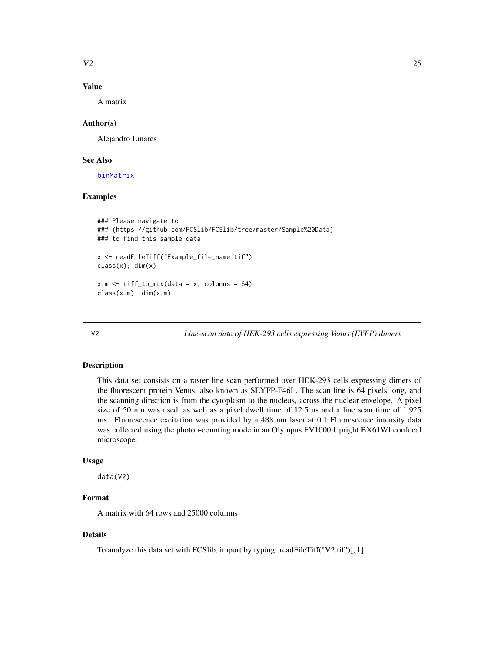<span id="page-24-0"></span> $V2$  25

# Value

A matrix

# Author(s)

Alejandro Linares

# See Also

[binMatrix](#page-2-1)

# Examples

```
### Please navigate to
### (https://github.com/FCSlib/FCSlib/tree/master/Sample%20Data)
### to find this sample data
x <- readFileTiff("Example_file_name.tif")
class(x); dim(x)
x.m \leftarrow \text{tiff\_to\_mx}(\text{data = x}, \text{columns = } 64)class(x.m); dim(x.m)
```
V2 *Line-scan data of HEK-293 cells expressing Venus (EYFP) dimers*

# Description

This data set consists on a raster line scan performed over HEK-293 cells expressing dimers of the fluorescent protein Venus, also known as SEYFP-F46L. The scan line is 64 pixels long, and the scanning direction is from the cytoplasm to the nucleus, across the nuclear envelope. A pixel size of 50 nm was used, as well as a pixel dwell time of 12.5 us and a line scan time of 1.925 ms. Fluorescence excitation was provided by a 488 nm laser at 0.1 Fluorescence intensity data was collected using the photon-counting mode in an Olympus FV1000 Upright BX61WI confocal microscope.

#### Usage

data(V2)

# Format

A matrix with 64 rows and 25000 columns

#### Details

To analyze this data set with FCSlib, import by typing: readFileTiff("V2.tif")[,,1]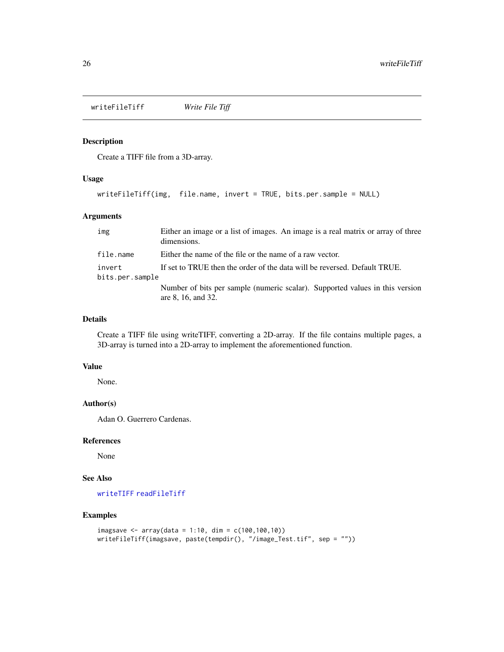<span id="page-25-1"></span><span id="page-25-0"></span>writeFileTiff *Write File Tiff*

# Description

Create a TIFF file from a 3D-array.

# Usage

writeFileTiff(img, file.name, invert = TRUE, bits.per.sample = NULL)

# Arguments

| img                       | Either an image or a list of images. An image is a real matrix or array of three<br>dimensions.    |
|---------------------------|----------------------------------------------------------------------------------------------------|
| file.name                 | Either the name of the file or the name of a raw vector.                                           |
| invert<br>bits.per.sample | If set to TRUE then the order of the data will be reversed. Default TRUE.                          |
|                           | Number of bits per sample (numeric scalar). Supported values in this version<br>are 8, 16, and 32. |

#### Details

Create a TIFF file using writeTIFF, converting a 2D-array. If the file contains multiple pages, a 3D-array is turned into a 2D-array to implement the aforementioned function.

# Value

None.

# Author(s)

Adan O. Guerrero Cardenas.

#### References

None

# See Also

[writeTIFF](#page-0-0) [readFileTiff](#page-20-1)

# Examples

```
imagsave <- array(data = 1:10, dim = c(100,100,10))
writeFileTiff(imagsave, paste(tempdir(), "/image_Test.tif", sep = ""))
```